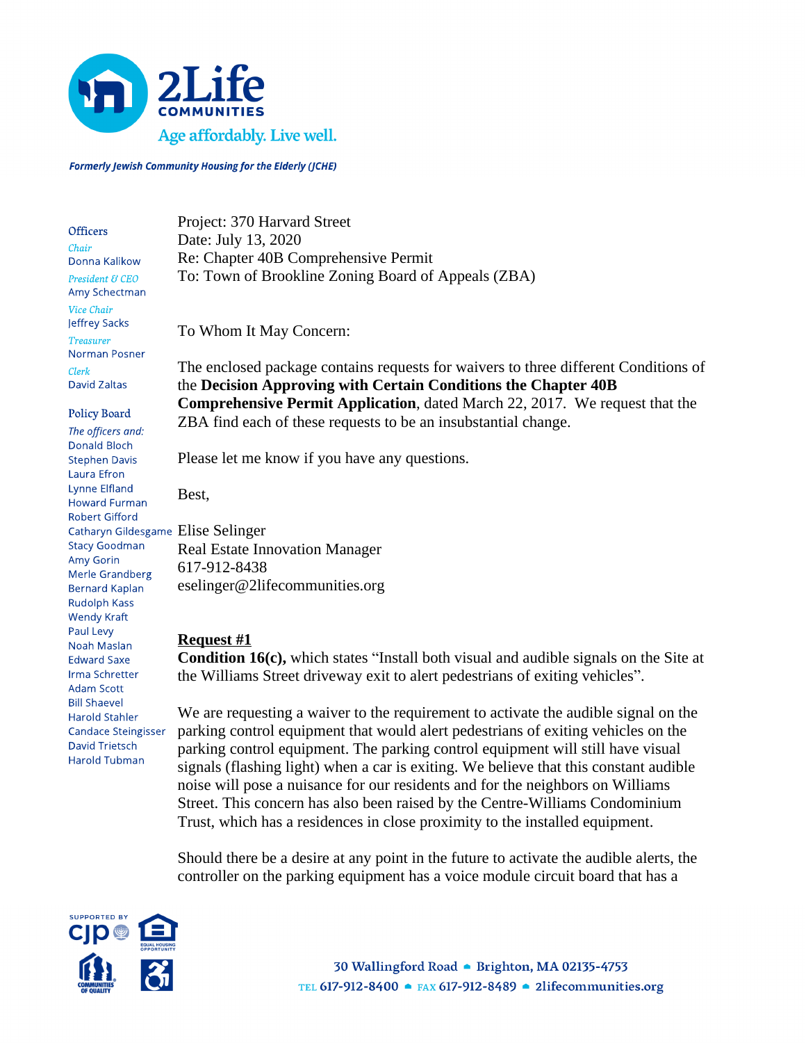

**Formerly Jewish Community Housing for the Elderly (JCHE)** 

|                                                                         | Project: 370 Harvard Street                                                                  |
|-------------------------------------------------------------------------|----------------------------------------------------------------------------------------------|
| <b>Officers</b>                                                         | Date: July 13, 2020                                                                          |
| Chair<br>Donna Kalikow                                                  | Re: Chapter 40B Comprehensive Permit                                                         |
| President & CEO                                                         | To: Town of Brookline Zoning Board of Appeals (ZBA)                                          |
| Amy Schectman                                                           |                                                                                              |
| <b>Vice Chair</b><br>Jeffrey Sacks<br>Treasurer<br><b>Norman Posner</b> | To Whom It May Concern:                                                                      |
| Clerk                                                                   | The enclosed package contains requests for waivers to three different Conditions of          |
| <b>David Zaltas</b>                                                     | the Decision Approving with Certain Conditions the Chapter 40B                               |
|                                                                         | <b>Comprehensive Permit Application</b> , dated March 22, 2017. We request that the          |
| <b>Policy Board</b>                                                     | ZBA find each of these requests to be an insubstantial change.                               |
| The officers and:<br><b>Donald Bloch</b>                                |                                                                                              |
| <b>Stephen Davis</b>                                                    | Please let me know if you have any questions.                                                |
| Laura Efron                                                             |                                                                                              |
| Lynne Elfland<br><b>Howard Furman</b><br><b>Robert Gifford</b>          | Best,                                                                                        |
| Catharyn Gildesgame Elise Selinger                                      |                                                                                              |
| <b>Stacy Goodman</b>                                                    | <b>Real Estate Innovation Manager</b>                                                        |
| Amy Gorin                                                               | 617-912-8438                                                                                 |
| Merle Grandberg                                                         |                                                                                              |
| <b>Bernard Kaplan</b>                                                   | eselinger@2lifecommunities.org                                                               |
| <b>Rudolph Kass</b><br><b>Wendy Kraft</b>                               |                                                                                              |
| Paul Levy                                                               |                                                                                              |
| Noah Maslan                                                             | <b>Request #1</b>                                                                            |
| <b>Edward Saxe</b>                                                      | <b>Condition 16(c),</b> which states "Install both visual and audible signals on the Site at |
| Irma Schretter                                                          | the Williams Street driveway exit to alert pedestrians of exiting vehicles".                 |
| <b>Adam Scott</b><br><b>Bill Shaevel</b>                                |                                                                                              |
| <b>Harold Stahler</b>                                                   | We are requesting a waiver to the requirement to activate the audible signal on the          |
| <b>Candace Steingisser</b>                                              | parking control equipment that would alert pedestrians of exiting vehicles on the            |
| David Trietsch                                                          | parking control equipment. The parking control equipment will still have visual              |
| Harold Tubman                                                           |                                                                                              |

signals (flashing light) when a car is exiting. We believe that this constant audible noise will pose a nuisance for our residents and for the neighbors on Williams Street. This concern has also been raised by the Centre-Williams Condominium Trust, which has a residences in close proximity to the installed equipment.

Should there be a desire at any point in the future to activate the audible alerts, the controller on the parking equipment has a voice module circuit board that has a